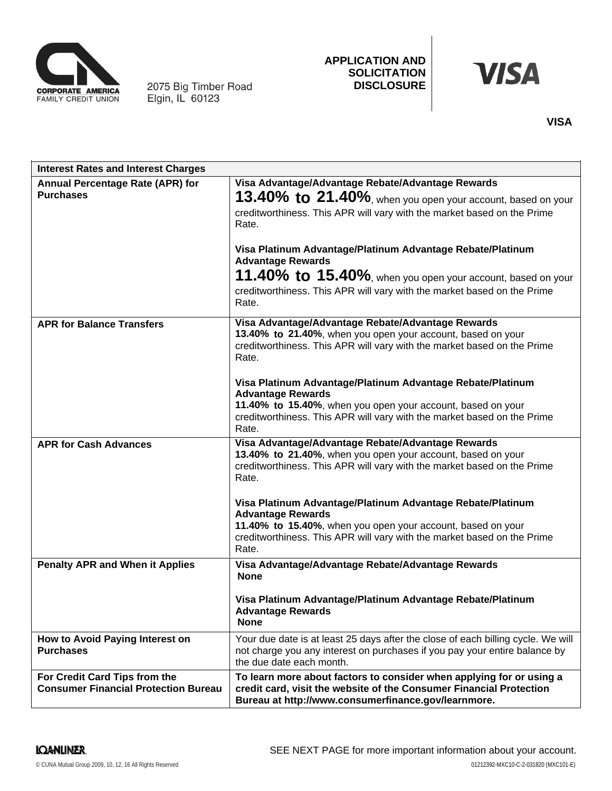

2075 Big Timber Road<br>Elgin, IL 60123

# **APPLICATION AND SOLICITATION DISCLOSURE**

# **VISA**

| <b>Interest Rates and Interest Charges</b>                                   |                                                                                                                                                                                                                                                                                                                                                                                                                                                   |
|------------------------------------------------------------------------------|---------------------------------------------------------------------------------------------------------------------------------------------------------------------------------------------------------------------------------------------------------------------------------------------------------------------------------------------------------------------------------------------------------------------------------------------------|
| Annual Percentage Rate (APR) for<br><b>Purchases</b>                         | Visa Advantage/Advantage Rebate/Advantage Rewards<br>13.40% to 21.40%, when you open your account, based on your<br>creditworthiness. This APR will vary with the market based on the Prime<br>Rate.<br>Visa Platinum Advantage/Platinum Advantage Rebate/Platinum<br><b>Advantage Rewards</b><br>11.40% to 15.40%, when you open your account, based on your<br>creditworthiness. This APR will vary with the market based on the Prime<br>Rate. |
| <b>APR for Balance Transfers</b>                                             | Visa Advantage/Advantage Rebate/Advantage Rewards<br>13.40% to 21.40%, when you open your account, based on your<br>creditworthiness. This APR will vary with the market based on the Prime<br>Rate.<br>Visa Platinum Advantage/Platinum Advantage Rebate/Platinum<br><b>Advantage Rewards</b><br>11.40% to 15.40%, when you open your account, based on your<br>creditworthiness. This APR will vary with the market based on the Prime<br>Rate. |
| <b>APR for Cash Advances</b>                                                 | Visa Advantage/Advantage Rebate/Advantage Rewards<br>13.40% to 21.40%, when you open your account, based on your<br>creditworthiness. This APR will vary with the market based on the Prime<br>Rate.<br>Visa Platinum Advantage/Platinum Advantage Rebate/Platinum<br><b>Advantage Rewards</b><br>11.40% to 15.40%, when you open your account, based on your<br>creditworthiness. This APR will vary with the market based on the Prime<br>Rate. |
| <b>Penalty APR and When it Applies</b>                                       | Visa Advantage/Advantage Rebate/Advantage Rewards<br><b>None</b><br>Visa Platinum Advantage/Platinum Advantage Rebate/Platinum<br><b>Advantage Rewards</b><br><b>None</b>                                                                                                                                                                                                                                                                         |
| How to Avoid Paying Interest on<br><b>Purchases</b>                          | Your due date is at least 25 days after the close of each billing cycle. We will<br>not charge you any interest on purchases if you pay your entire balance by<br>the due date each month.                                                                                                                                                                                                                                                        |
| For Credit Card Tips from the<br><b>Consumer Financial Protection Bureau</b> | To learn more about factors to consider when applying for or using a<br>credit card, visit the website of the Consumer Financial Protection<br>Bureau at http://www.consumerfinance.gov/learnmore.                                                                                                                                                                                                                                                |